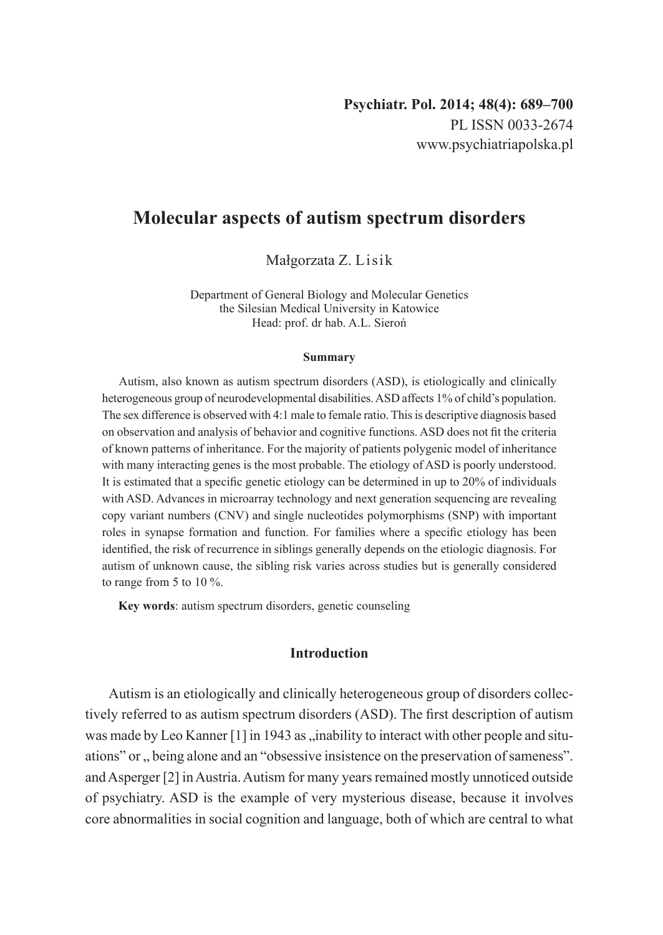# **Molecular aspects of autism spectrum disorders**

Małgorzata Z. Lisik

Department of General Biology and Molecular Genetics the Silesian Medical University in Katowice Head: prof. dr hab. A.L. Sieroń

#### **Summary**

Autism, also known as autism spectrum disorders (ASD), is etiologically and clinically heterogeneous group of neurodevelopmental disabilities. ASD affects 1% of child's population. The sex difference is observed with 4:1 male to female ratio. This is descriptive diagnosis based on observation and analysis of behavior and cognitive functions. ASD does not fit the criteria of known patterns of inheritance. For the majority of patients polygenic model of inheritance with many interacting genes is the most probable. The etiology of ASD is poorly understood. It is estimated that a specific genetic etiology can be determined in up to 20% of individuals with ASD. Advances in microarray technology and next generation sequencing are revealing copy variant numbers (CNV) and single nucleotides polymorphisms (SNP) with important roles in synapse formation and function. For families where a specific etiology has been identified, the risk of recurrence in siblings generally depends on the etiologic diagnosis. For autism of unknown cause, the sibling risk varies across studies but is generally considered to range from 5 to 10 %.

**Key words**: autism spectrum disorders, genetic counseling

# **Introduction**

Autism is an etiologically and clinically heterogeneous group of disorders collectively referred to as autism spectrum disorders (ASD). The first description of autism was made by Leo Kanner  $[1]$  in 1943 as , inability to interact with other people and situations" or  $\alpha$ , being alone and an "obsessive insistence on the preservation of sameness". and Asperger [2] inAustria. Autism for many years remained mostly unnoticed outside of psychiatry. ASD is the example of very mysterious disease, because it involves core abnormalities in social cognition and language, both of which are central to what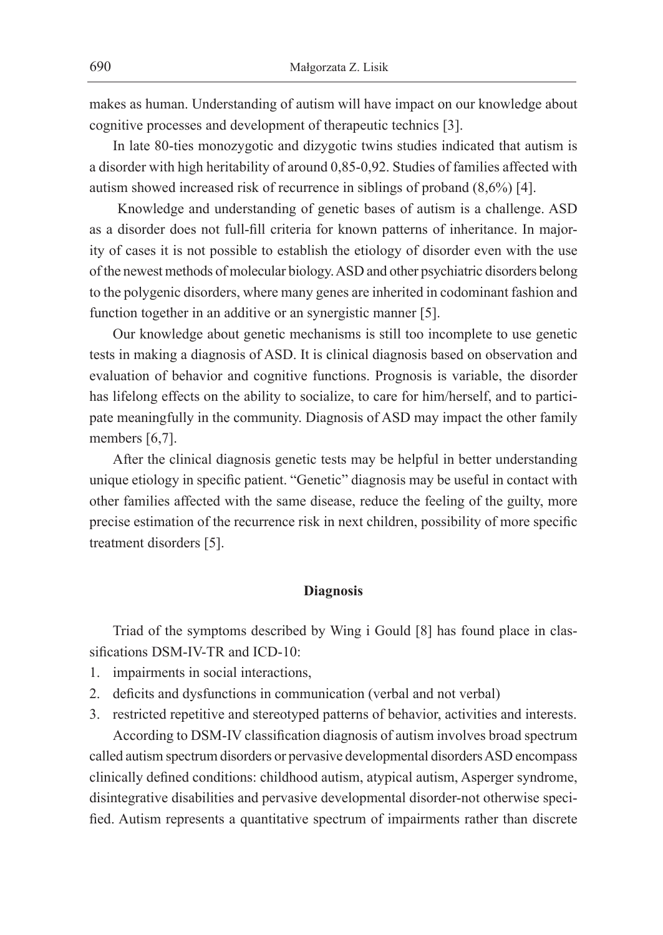makes as human. Understanding of autism will have impact on our knowledge about cognitive processes and development of therapeutic technics [3].

In late 80-ties monozygotic and dizygotic twins studies indicated that autism is a disorder with high heritability of around 0,85-0,92. Studies of families affected with autism showed increased risk of recurrence in siblings of proband (8,6%) [4].

 Knowledge and understanding of genetic bases of autism is a challenge. ASD as a disorder does not full-fill criteria for known patterns of inheritance. In majority of cases it is not possible to establish the etiology of disorder even with the use ofthe newest methods of molecular biology. ASD and other psychiatric disorders belong to the polygenic disorders, where many genes are inherited in codominant fashion and function together in an additive or an synergistic manner [5].

Our knowledge about genetic mechanisms is still too incomplete to use genetic tests in making a diagnosis of ASD. It is clinical diagnosis based on observation and evaluation of behavior and cognitive functions. Prognosis is variable, the disorder has lifelong effects on the ability to socialize, to care for him/herself, and to participate meaningfully in the community. Diagnosis of ASD may impact the other family members [6,7].

After the clinical diagnosis genetic tests may be helpful in better understanding unique etiology in specific patient. "Genetic" diagnosis may be useful in contact with other families affected with the same disease, reduce the feeling of the guilty, more precise estimation of the recurrence risk in next children, possibility of more specific treatment disorders [5].

#### **Diagnosis**

Triad of the symptoms described by Wing i Gould [8] has found place in classifications DSM-IV-TR and ICD-10:

- 1. impairments in social interactions,
- 2. deficits and dysfunctions in communication (verbal and not verbal)
- 3. restricted repetitive and stereotyped patterns of behavior, activities and interests.

According to DSM-IV classification diagnosis of autism involves broad spectrum called autism spectrum disorders or pervasive developmental disorders ASD encompass clinically defined conditions: childhood autism, atypical autism, Asperger syndrome, disintegrative disabilities and pervasive developmental disorder-not otherwise specified. Autism represents a quantitative spectrum of impairments rather than discrete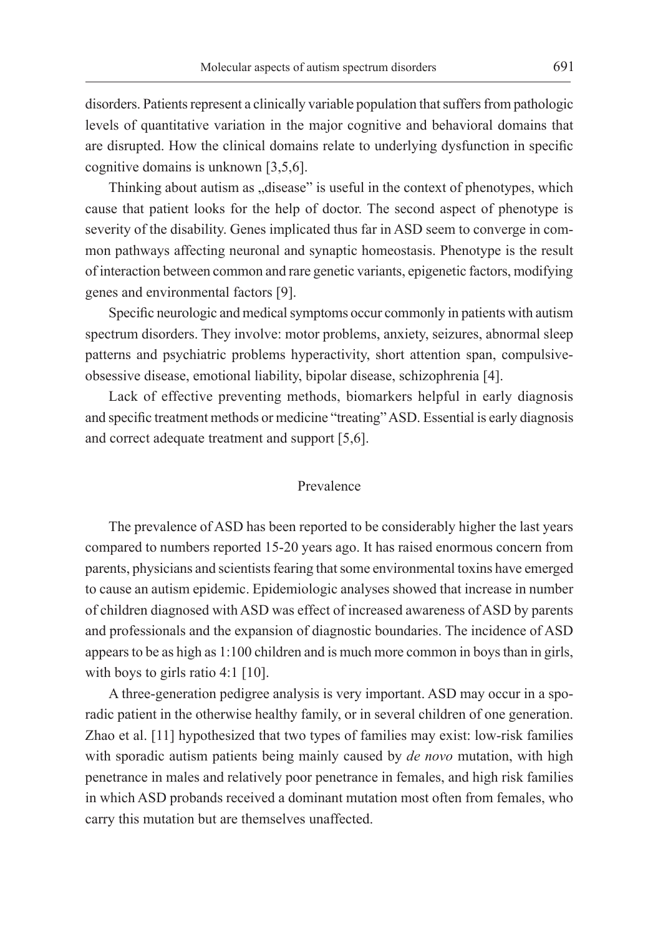disorders. Patients represent a clinically variable population that suffers from pathologic levels of quantitative variation in the major cognitive and behavioral domains that are disrupted. How the clinical domains relate to underlying dysfunction in specific cognitive domains is unknown [3,5,6].

Thinking about autism as "disease" is useful in the context of phenotypes, which cause that patient looks for the help of doctor. The second aspect of phenotype is severity of the disability. Genes implicated thus far in ASD seem to converge in common pathways affecting neuronal and synaptic homeostasis. Phenotype is the result of interaction between common and rare genetic variants, epigenetic factors, modifying genes and environmental factors [9].

Specific neurologic and medical symptoms occur commonly in patients with autism spectrum disorders. They involve: motor problems, anxiety, seizures, abnormal sleep patterns and psychiatric problems hyperactivity, short attention span, compulsiveobsessive disease, emotional liability, bipolar disease, schizophrenia [4].

Lack of effective preventing methods, biomarkers helpful in early diagnosis and specific treatment methods or medicine "treating" ASD. Essential is early diagnosis and correct adequate treatment and support [5,6].

### Prevalence

The prevalence of ASD has been reported to be considerably higher the last years compared to numbers reported 15-20 years ago. It has raised enormous concern from parents, physicians and scientists fearing that some environmental toxins have emerged to cause an autism epidemic. Epidemiologic analyses showed that increase in number of children diagnosed with ASD was effect of increased awareness of ASD by parents and professionals and the expansion of diagnostic boundaries. The incidence of ASD appears to be as high as 1:100 children and is much more common in boys than in girls, with boys to girls ratio 4:1 [10].

A three-generation pedigree analysis is very important. ASD may occur in a sporadic patient in the otherwise healthy family, or in several children of one generation. Zhao et al. [11] hypothesized that two types of families may exist: low-risk families with sporadic autism patients being mainly caused by *de novo* mutation, with high penetrance in males and relatively poor penetrance in females, and high risk families in which ASD probands received a dominant mutation most often from females, who carry this mutation but are themselves unaffected.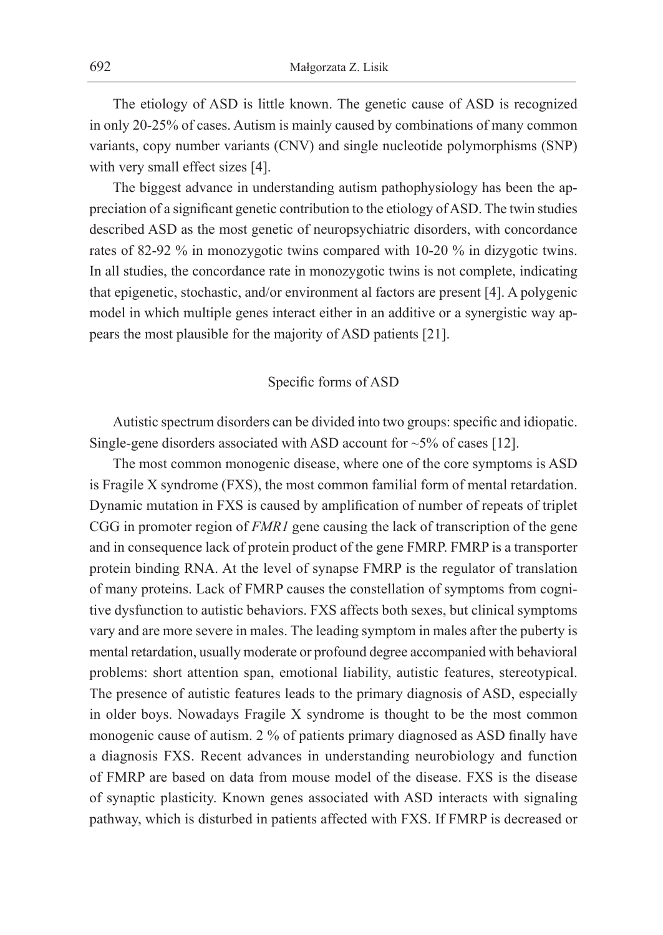The etiology of ASD is little known. The genetic cause of ASD is recognized in only 20-25% of cases. Autism is mainly caused by combinations of many common variants, copy number variants (CNV) and single nucleotide polymorphisms (SNP) with very small effect sizes [4].

The biggest advance in understanding autism pathophysiology has been the appreciation of a significant genetic contribution to the etiology ofASD. The twin studies described ASD as the most genetic of neuropsychiatric disorders, with concordance rates of 82-92 % in monozygotic twins compared with 10-20 % in dizygotic twins. In all studies, the concordance rate in monozygotic twins is not complete, indicating that epigenetic, stochastic, and/or environment al factors are present [4]. A polygenic model in which multiple genes interact either in an additive or a synergistic way appears the most plausible for the majority of ASD patients [21].

# Specific forms of ASD

Autistic spectrum disorders can be divided into two groups: specific and idiopatic. Single-gene disorders associated with ASD account for  $\sim$  5% of cases [12].

The most common monogenic disease, where one of the core symptoms is ASD is Fragile X syndrome (FXS), the most common familial form of mental retardation. Dynamic mutation in FXS is caused by amplification of number of repeats of triplet CGG in promoter region of *FMR1* gene causing the lack of transcription of the gene and in consequence lack of protein product of the gene FMRP. FMRP is a transporter protein binding RNA. At the level of synapse FMRP is the regulator of translation of many proteins. Lack of FMRP causes the constellation of symptoms from cognitive dysfunction to autistic behaviors. FXS affects both sexes, but clinical symptoms vary and are more severe in males. The leading symptom in males after the puberty is mental retardation, usually moderate or profound degree accompanied with behavioral problems: short attention span, emotional liability, autistic features, stereotypical. The presence of autistic features leads to the primary diagnosis of ASD, especially in older boys. Nowadays Fragile X syndrome is thought to be the most common monogenic cause of autism. 2 % of patients primary diagnosed as ASD finally have a diagnosis FXS. Recent advances in understanding neurobiology and function of FMRP are based on data from mouse model of the disease. FXS is the disease of synaptic plasticity. Known genes associated with ASD interacts with signaling pathway, which is disturbed in patients affected with FXS. If FMRP is decreased or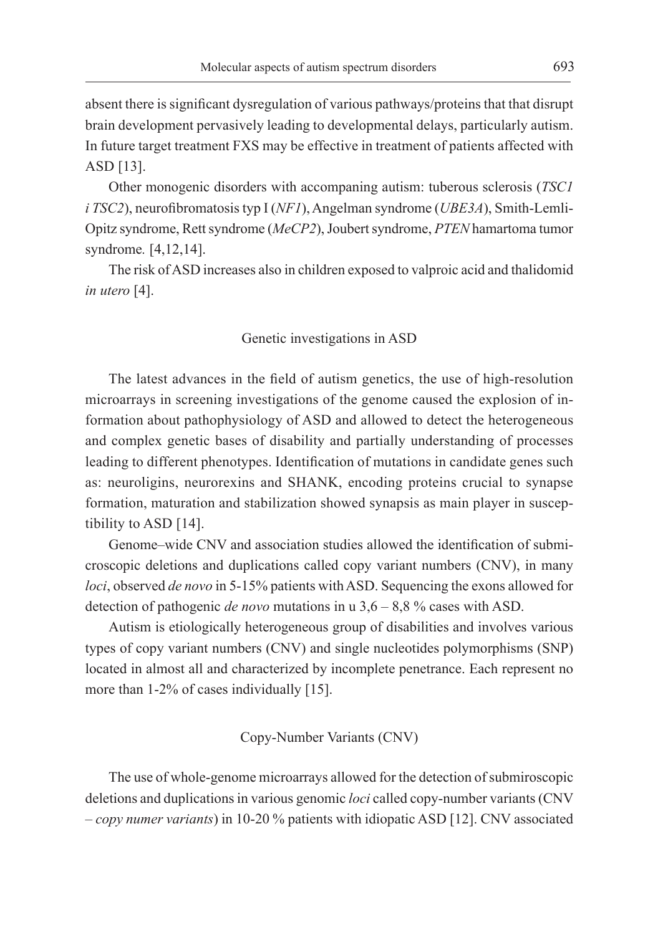absent there is significant dysregulation of various pathways/proteins that that disrupt brain development pervasively leading to developmental delays, particularly autism. In future target treatment FXS may be effective in treatment of patients affected with ASD [13].

Other monogenic disorders with accompaning autism: tuberous sclerosis (*TSC1 i TSC2*), neurofibromatosis typ I (*NF1*), Angelman syndrome (*UBE3A*), Smith-Lemli-Opitz syndrome, Rett syndrome (*MeCP2*), Joubert syndrome, *PTEN* hamartoma tumor syndrome*.* [4,12,14].

The risk ofASD increases also in children exposed to valproic acid and thalidomid *in utero* [4].

### Genetic investigations in ASD

The latest advances in the field of autism genetics, the use of high-resolution microarrays in screening investigations of the genome caused the explosion of information about pathophysiology of ASD and allowed to detect the heterogeneous and complex genetic bases of disability and partially understanding of processes leading to different phenotypes. Identification of mutations in candidate genes such as: neuroligins, neurorexins and SHANK, encoding proteins crucial to synapse formation, maturation and stabilization showed synapsis as main player in susceptibility to ASD [14].

Genome–wide CNV and association studies allowed the identification of submicroscopic deletions and duplications called copy variant numbers (CNV), in many *loci*, observed *de novo* in 5-15% patients with ASD. Sequencing the exons allowed for detection of pathogenic *de novo* mutations in u 3,6 – 8,8 % cases with ASD.

Autism is etiologically heterogeneous group of disabilities and involves various types of copy variant numbers (CNV) and single nucleotides polymorphisms (SNP) located in almost all and characterized by incomplete penetrance. Each represent no more than 1-2% of cases individually [15].

Copy-Number Variants (CNV)

The use of whole-genome microarrays allowed for the detection of submiroscopic deletions and duplications in various genomic *loci* called copy-number variants (CNV – *copy numer variants*) in 10-20 % patients with idiopatic ASD [12]. CNV associated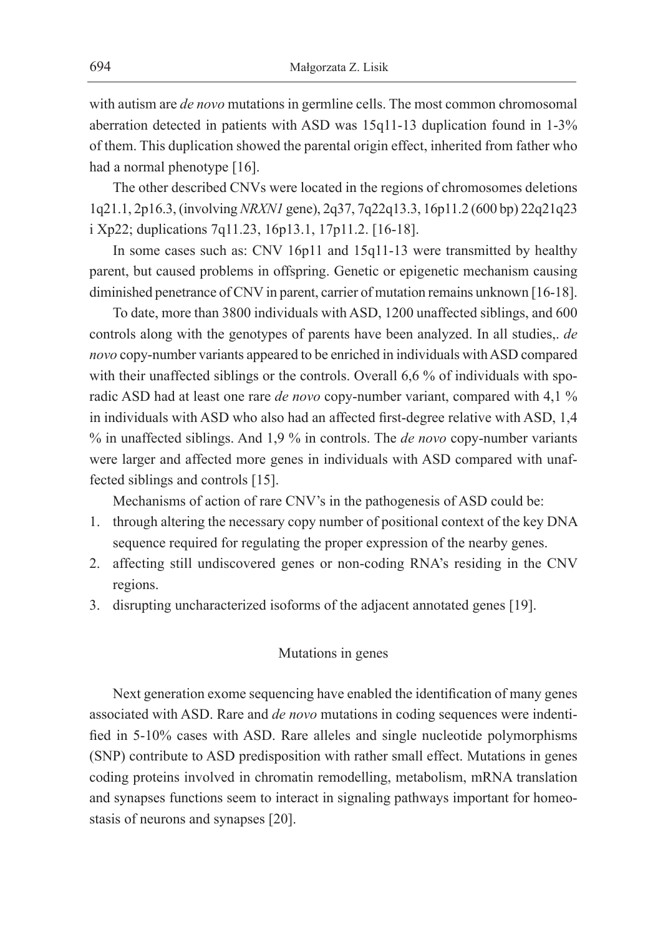with autism are *de novo* mutations in germline cells. The most common chromosomal aberration detected in patients with ASD was 15q11-13 duplication found in 1-3% of them. This duplication showed the parental origin effect, inherited from father who had a normal phenotype [16].

The other described CNVs were located in the regions of chromosomes deletions 1q21.1, 2p16.3, (involving *NRXN1* gene), 2q37, 7q22q13.3, 16p11.2 (600 bp) 22q21q23 i Xp22; duplications 7q11.23, 16p13.1, 17p11.2. [16-18].

In some cases such as: CNV 16p11 and 15q11-13 were transmitted by healthy parent, but caused problems in offspring. Genetic or epigenetic mechanism causing diminished penetrance of CNV in parent, carrier of mutation remains unknown [16-18].

To date, more than 3800 individuals with ASD, 1200 unaffected siblings, and 600 controls along with the genotypes of parents have been analyzed. In all studies,. *de novo* copy-number variants appeared to be enriched in individuals with ASD compared with their unaffected siblings or the controls. Overall 6,6 % of individuals with sporadic ASD had at least one rare *de novo* copy-number variant, compared with 4,1 % in individuals with ASD who also had an affected first-degree relative with ASD, 1,4 % in unaffected siblings. And 1,9 % in controls. The *de novo* copy-number variants were larger and affected more genes in individuals with ASD compared with unaffected siblings and controls [15].

Mechanisms of action of rare CNV's in the pathogenesis of ASD could be:

- 1. through altering the necessary copy number of positional context of the key DNA sequence required for regulating the proper expression of the nearby genes.
- 2. affecting still undiscovered genes or non-coding RNA's residing in the CNV regions.
- 3. disrupting uncharacterized isoforms of the adjacent annotated genes [19].

### Mutations in genes

Next generation exome sequencing have enabled the identification of many genes associated with ASD. Rare and *de novo* mutations in coding sequences were indentified in 5-10% cases with ASD. Rare alleles and single nucleotide polymorphisms (SNP) contribute to ASD predisposition with rather small effect. Mutations in genes coding proteins involved in chromatin remodelling, metabolism, mRNA translation and synapses functions seem to interact in signaling pathways important for homeostasis of neurons and synapses [20].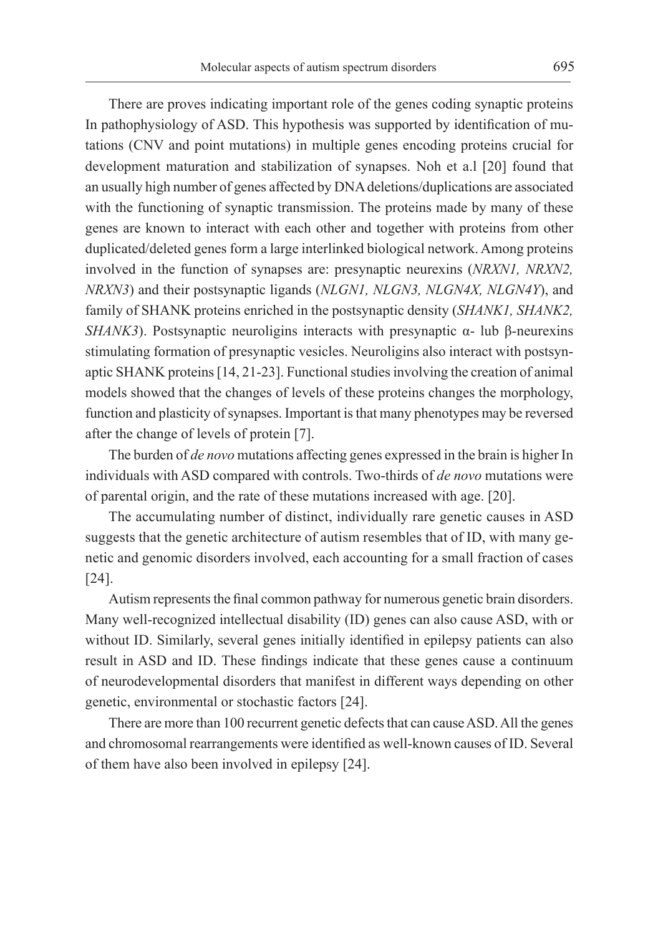There are proves indicating important role of the genes coding synaptic proteins In pathophysiology of ASD. This hypothesis was supported by identification of mutations (CNV and point mutations) in multiple genes encoding proteins crucial for development maturation and stabilization of synapses. Noh et a.l [20] found that an usually high number of genes affected by DNA deletions/duplications are associated with the functioning of synaptic transmission. The proteins made by many of these genes are known to interact with each other and together with proteins from other duplicated/deleted genes form a large interlinked biological network. Among proteins involved in the function of synapses are: presynaptic neurexins (*NRXN1, NRXN2, NRXN3*) and their postsynaptic ligands (*NLGN1, NLGN3, NLGN4X, NLGN4Y*), and family of SHANK proteins enriched in the postsynaptic density (*SHANK1, SHANK2, SHANK3*). Postsynaptic neuroligins interacts with presynaptic α- lub β-neurexins stimulating formation of presynaptic vesicles. Neuroligins also interact with postsynaptic SHANK proteins [14, 21-23]. Functional studies involving the creation of animal models showed that the changes of levels of these proteins changes the morphology, function and plasticity of synapses. Important is that many phenotypes may be reversed after the change of levels of protein [7].

The burden of *de novo* mutations affecting genes expressed in the brain is higher In individuals with ASD compared with controls. Two-thirds of *de novo* mutations were of parental origin, and the rate of these mutations increased with age. [20].

The accumulating number of distinct, individually rare genetic causes in ASD suggests that the genetic architecture of autism resembles that of ID, with many genetic and genomic disorders involved, each accounting for a small fraction of cases [24].

Autism represents the final common pathway for numerous genetic brain disorders. Many well-recognized intellectual disability (ID) genes can also cause ASD, with or without ID. Similarly, several genes initially identified in epilepsy patients can also result in ASD and ID. These findings indicate that these genes cause a continuum of neurodevelopmental disorders that manifest in different ways depending on other genetic, environmental or stochastic factors [24].

There are more than 100 recurrent genetic defects that can cause ASD. All the genes and chromosomal rearrangements were identified as well-known causes of ID. Several of them have also been involved in epilepsy [24].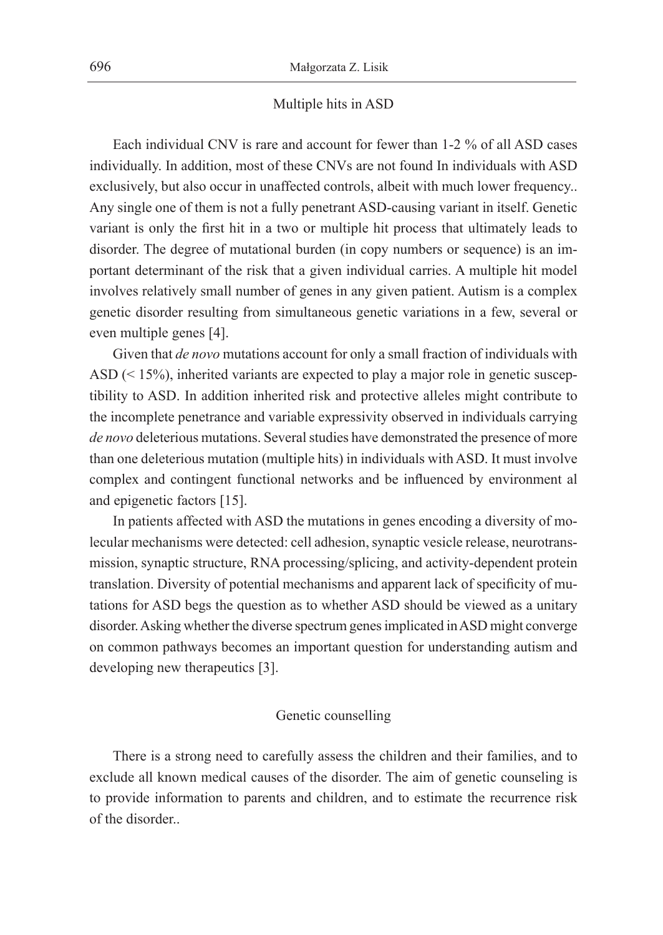#### Multiple hits in ASD

Each individual CNV is rare and account for fewer than 1-2 % of all ASD cases individually. In addition, most of these CNVs are not found In individuals with ASD exclusively, but also occur in unaffected controls, albeit with much lower frequency.. Any single one of them is not a fully penetrant ASD-causing variant in itself. Genetic variant is only the first hit in a two or multiple hit process that ultimately leads to disorder. The degree of mutational burden (in copy numbers or sequence) is an important determinant of the risk that a given individual carries. A multiple hit model involves relatively small number of genes in any given patient. Autism is a complex genetic disorder resulting from simultaneous genetic variations in a few, several or even multiple genes [4].

Given that *de novo* mutations account for only a small fraction of individuals with ASD (< 15%), inherited variants are expected to play a major role in genetic susceptibility to ASD. In addition inherited risk and protective alleles might contribute to the incomplete penetrance and variable expressivity observed in individuals carrying *de novo* deleterious mutations. Several studies have demonstrated the presence of more than one deleterious mutation (multiple hits) in individuals with ASD. It must involve complex and contingent functional networks and be influenced by environment al and epigenetic factors [15].

In patients affected with ASD the mutations in genes encoding a diversity of molecular mechanisms were detected: cell adhesion, synaptic vesicle release, neurotransmission, synaptic structure, RNA processing/splicing, and activity-dependent protein translation. Diversity of potential mechanisms and apparent lack of specificity of mutations for ASD begs the question as to whether ASD should be viewed as a unitary disorder. Asking whether the diverse spectrum genes implicated inASD might converge on common pathways becomes an important question for understanding autism and developing new therapeutics [3].

## Genetic counselling

There is a strong need to carefully assess the children and their families, and to exclude all known medical causes of the disorder. The aim of genetic counseling is to provide information to parents and children, and to estimate the recurrence risk of the disorder..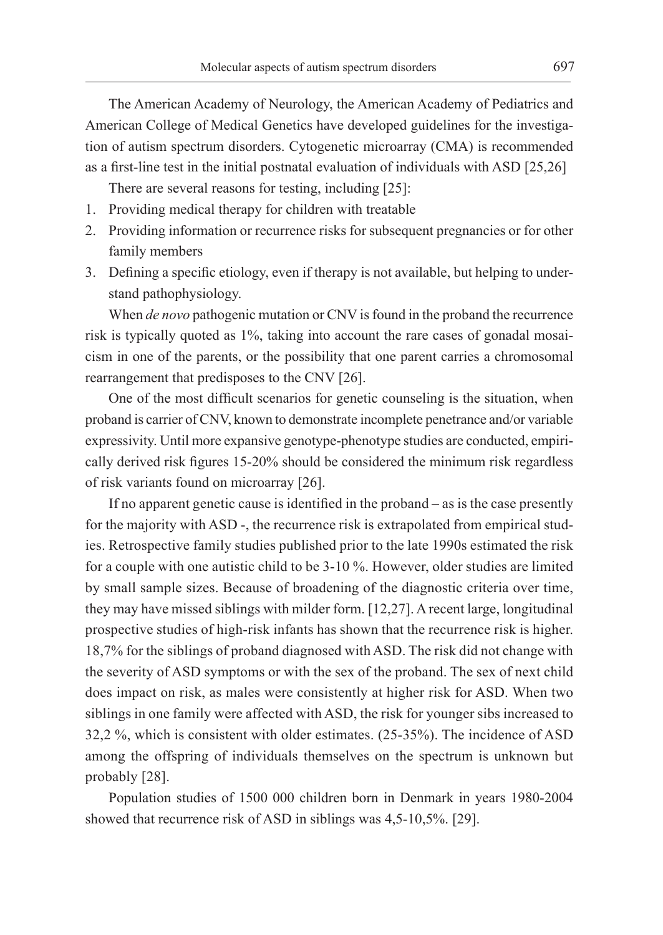The American Academy of Neurology, the American Academy of Pediatrics and American College of Medical Genetics have developed guidelines for the investigation of autism spectrum disorders. Cytogenetic microarray (CMA) is recommended as a first-line test in the initial postnatal evaluation of individuals with ASD [25,26]

There are several reasons for testing, including [25]:

- 1. Providing medical therapy for children with treatable
- 2. Providing information or recurrence risks for subsequent pregnancies or for other family members
- 3. Defining a specific etiology, even if therapy is not available, but helping to understand pathophysiology.

When *de novo* pathogenic mutation or CNV is found in the proband the recurrence risk is typically quoted as 1%, taking into account the rare cases of gonadal mosaicism in one of the parents, or the possibility that one parent carries a chromosomal rearrangement that predisposes to the CNV [26].

One of the most difficult scenarios for genetic counseling is the situation, when proband is carrier of CNV, known to demonstrate incomplete penetrance and/or variable expressivity. Until more expansive genotype-phenotype studies are conducted, empirically derived risk figures 15-20% should be considered the minimum risk regardless of risk variants found on microarray [26].

If no apparent genetic cause is identified in the proband – as is the case presently for the majority with ASD -, the recurrence risk is extrapolated from empirical studies. Retrospective family studies published prior to the late 1990s estimated the risk for a couple with one autistic child to be 3-10 %. However, older studies are limited by small sample sizes. Because of broadening of the diagnostic criteria over time, they may have missed siblings with milder form. [12,27]. A recent large, longitudinal prospective studies of high-risk infants has shown that the recurrence risk is higher. 18,7% for the siblings of proband diagnosed with ASD. The risk did not change with the severity of ASD symptoms or with the sex of the proband. The sex of next child does impact on risk, as males were consistently at higher risk for ASD. When two siblings in one family were affected with ASD, the risk for younger sibs increased to 32,2 %, which is consistent with older estimates. (25-35%). The incidence of ASD among the offspring of individuals themselves on the spectrum is unknown but probably [28].

Population studies of 1500 000 children born in Denmark in years 1980-2004 showed that recurrence risk of ASD in siblings was 4,5-10,5%. [29].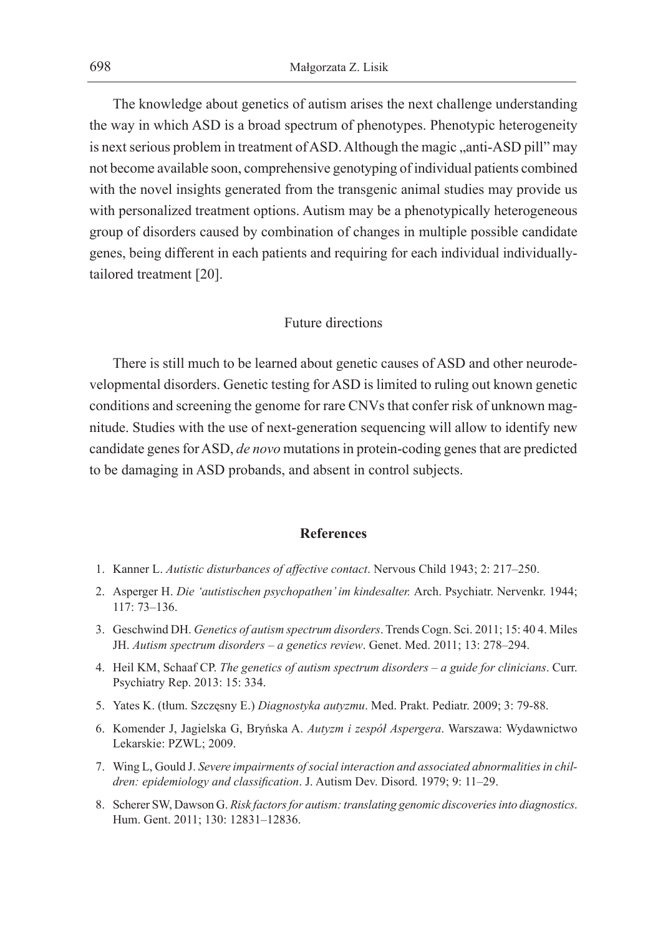The knowledge about genetics of autism arises the next challenge understanding the way in which ASD is a broad spectrum of phenotypes. Phenotypic heterogeneity is next serious problem in treatment of ASD. Although the magic "anti-ASD pill" may not become available soon, comprehensive genotyping of individual patients combined with the novel insights generated from the transgenic animal studies may provide us with personalized treatment options. Autism may be a phenotypically heterogeneous group of disorders caused by combination of changes in multiple possible candidate genes, being different in each patients and requiring for each individual individuallytailored treatment [20].

# Future directions

There is still much to be learned about genetic causes of ASD and other neurodevelopmental disorders. Genetic testing for ASD is limited to ruling out known genetic conditions and screening the genome for rare CNVs that confer risk of unknown magnitude. Studies with the use of next-generation sequencing will allow to identify new candidate genes for ASD, *de novo* mutations in protein-coding genes that are predicted to be damaging in ASD probands, and absent in control subjects.

### **References**

- 1. Kanner L. *Autistic disturbances of affective contact*. Nervous Child 1943; 2: 217–250.
- 2. Asperger H. *Die 'autistischen psychopathen' im kindesalter.* Arch. Psychiatr. Nervenkr. 1944; 117: 73–136.
- 3. Geschwind DH. *Genetics of autism spectrum disorders*. Trends Cogn. Sci. 2011; 15: 40 4. Miles JH. *Autism spectrum disorders – a genetics review*. Genet. Med. 2011; 13: 278–294.
- 4. Heil KM, Schaaf CP. *The genetics of autism spectrum disorders a guide for clinicians*. Curr. Psychiatry Rep. 2013: 15: 334.
- 5. Yates K. (tłum. Szczęsny E.) *Diagnostyka autyzmu*. Med. Prakt. Pediatr. 2009; 3: 79-88.
- 6. Komender J, Jagielska G, Bryńska A. *Autyzm i zespół Aspergera*. Warszawa: Wydawnictwo Lekarskie: PZWL; 2009.
- 7. Wing L, Gould J. *Severe impairments ofsocial interaction and associated abnormalities in children: epidemiology and classification*. J. Autism Dev. Disord. 1979; 9: 11–29.
- 8. Scherer SW, Dawson G. *Risk factors for autism: translating genomic discoveries into diagnostics*. Hum. Gent. 2011; 130: 12831–12836.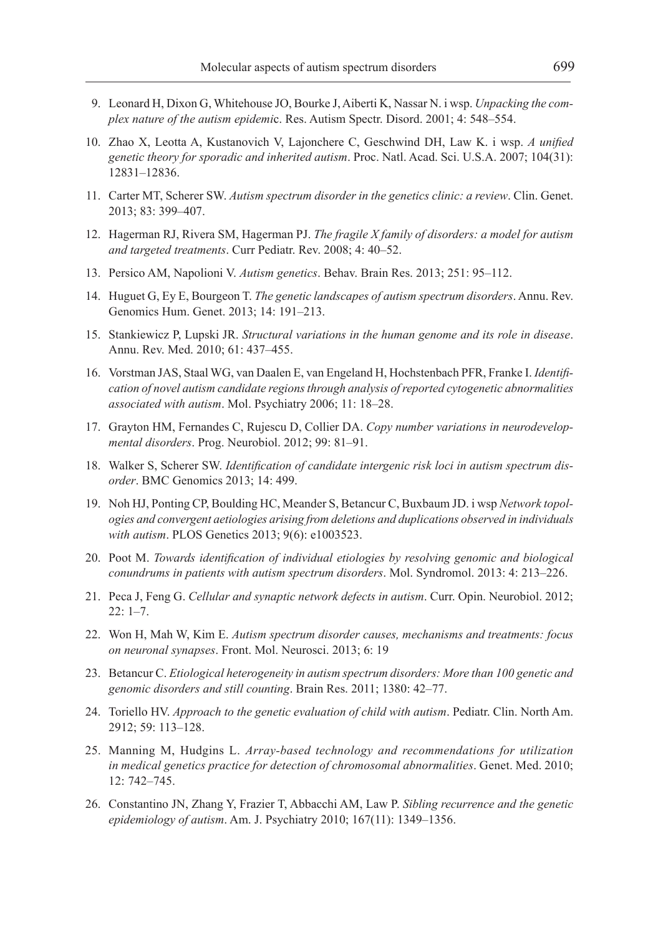- 9. Leonard H, Dixon G, Whitehouse JO, Bourke J, Aiberti K, Nassar N. i wsp. *Unpacking the complex nature of the autism epidemi*c. Res. Autism Spectr. Disord. 2001; 4: 548–554.
- 10. Zhao X, Leotta A, Kustanovich V, Lajonchere C, Geschwind DH, Law K. i wsp. *A unified genetic theory for sporadic and inherited autism*. Proc. Natl. Acad. Sci. U.S.A. 2007; 104(31): 12831–12836.
- 11. Carter MT, Scherer SW. *Autism spectrum disorder in the genetics clinic: a review*. Clin. Genet. 2013; 83: 399–407.
- 12. Hagerman RJ, Rivera SM, Hagerman PJ. *The fragile X family of disorders: a model for autism and targeted treatments*. Curr Pediatr. Rev. 2008; 4: 40–52.
- 13. Persico AM, Napolioni V. *Autism genetics*. Behav. Brain Res. 2013; 251: 95–112.
- 14. Huguet G, Ey E, Bourgeon T. *The genetic landscapes of autism spectrum disorders*. Annu. Rev. Genomics Hum. Genet. 2013; 14: 191–213.
- 15. Stankiewicz P, Lupski JR. *Structural variations in the human genome and its role in disease*. Annu. Rev. Med. 2010; 61: 437–455.
- 16. Vorstman JAS, Staal WG, van Daalen E, van Engeland H, Hochstenbach PFR, Franke I. *Identification of novel autism candidate regions through analysis ofreported cytogenetic abnormalities associated with autism*. Mol. Psychiatry 2006; 11: 18–28.
- 17. Grayton HM, Fernandes C, Rujescu D, Collier DA. *Copy number variations in neurodevelopmental disorders*. Prog. Neurobiol. 2012; 99: 81–91.
- 18. Walker S, Scherer SW. *Identification of candidate intergenic risk loci in autism spectrum disorder*. BMC Genomics 2013; 14: 499.
- 19. Noh HJ, Ponting CP, Boulding HC, Meander S, Betancur C, Buxbaum JD. i wsp *Network topologies and convergent aetiologies arising from deletions and duplications observed in individuals with autism*. PLOS Genetics 2013; 9(6): e1003523.
- 20. Poot M. *Towards identification of individual etiologies by resolving genomic and biological conundrums in patients with autism spectrum disorders*. Mol. Syndromol. 2013: 4: 213–226.
- 21. Peca J, Feng G. *Cellular and synaptic network defects in autism*. Curr. Opin. Neurobiol. 2012; 22: 1–7.
- 22. Won H, Mah W, Kim E. *Autism spectrum disorder causes, mechanisms and treatments: focus on neuronal synapses*. Front. Mol. Neurosci. 2013; 6: 19
- 23. Betancur C. *Etiological heterogeneity in autism spectrum disorders: More than 100 genetic and genomic disorders and still counting*. Brain Res. 2011; 1380: 42–77.
- 24. Toriello HV. *Approach to the genetic evaluation of child with autism*. Pediatr. Clin. North Am. 2912; 59: 113–128.
- 25. Manning M, Hudgins L. *Array-based technology and recommendations for utilization in medical genetics practice for detection of chromosomal abnormalities*. Genet. Med. 2010; 12: 742–745.
- 26. Constantino JN, Zhang Y, Frazier T, Abbacchi AM, Law P. *Sibling recurrence and the genetic epidemiology of autism*. Am. J. Psychiatry 2010; 167(11): 1349–1356.